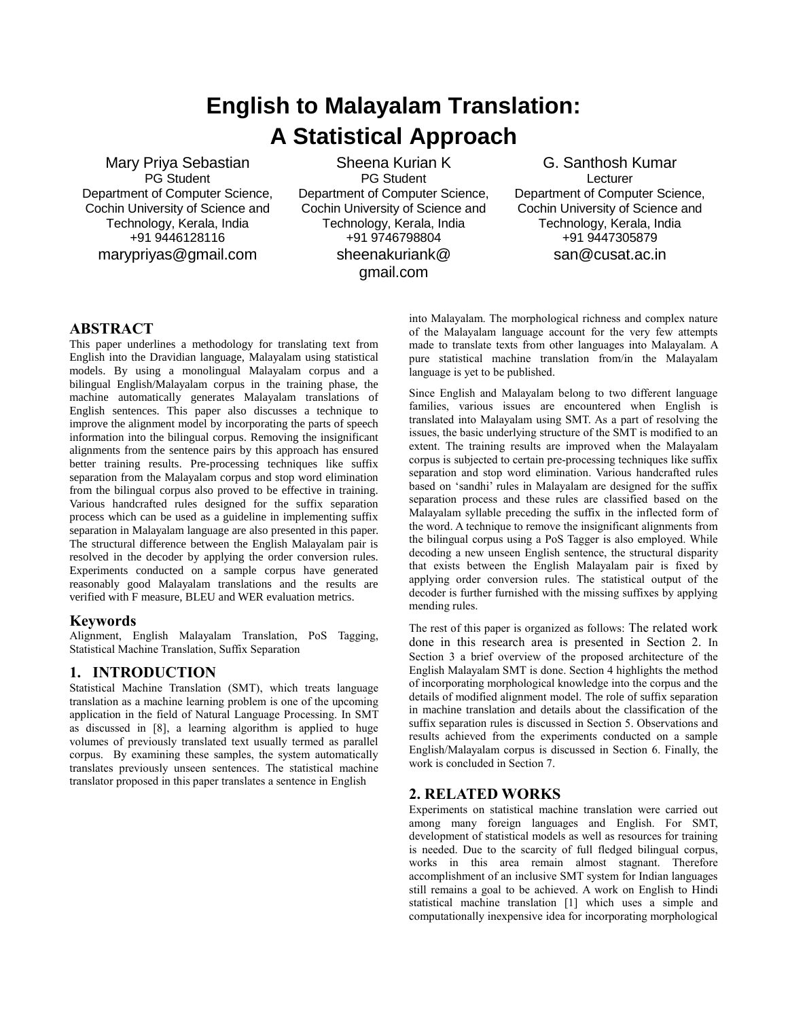# **English to Malayalam Translation: A Statistical Approach**

Mary Priya Sebastian PG Student Department of Computer Science, Cochin University of Science and Technology, Kerala, India +91 9446128116 marypriyas@gmail.com

Sheena Kurian K PG Student Department of Computer Science, Cochin University of Science and Technology, Kerala, India +91 9746798804 sheenakuriank@ gmail.com

G. Santhosh Kumar **Lecturer** Department of Computer Science, Cochin University of Science and Technology, Kerala, India +91 9447305879 san@cusat.ac.in

## **ABSTRACT**

This paper underlines a methodology for translating text from English into the Dravidian language, Malayalam using statistical models. By using a monolingual Malayalam corpus and a bilingual English/Malayalam corpus in the training phase, the machine automatically generates Malayalam translations of English sentences. This paper also discusses a technique to improve the alignment model by incorporating the parts of speech information into the bilingual corpus. Removing the insignificant alignments from the sentence pairs by this approach has ensured better training results. Pre-processing techniques like suffix separation from the Malayalam corpus and stop word elimination from the bilingual corpus also proved to be effective in training. Various handcrafted rules designed for the suffix separation process which can be used as a guideline in implementing suffix separation in Malayalam language are also presented in this paper. The structural difference between the English Malayalam pair is resolved in the decoder by applying the order conversion rules. Experiments conducted on a sample corpus have generated reasonably good Malayalam translations and the results are verified with F measure, BLEU and WER evaluation metrics.

#### **Keywords**

Alignment, English Malayalam Translation, PoS Tagging, Statistical Machine Translation, Suffix Separation

## **1. INTRODUCTION**

Statistical Machine Translation (SMT), which treats language translation as a machine learning problem is one of the upcoming application in the field of Natural Language Processing. In SMT as discussed in [8], a learning algorithm is applied to huge volumes of previously translated text usually termed as parallel corpus. By examining these samples, the system automatically translates previously unseen sentences. The statistical machine translator proposed in this paper translates a sentence in English

into Malayalam. The morphological richness and complex nature of the Malayalam language account for the very few attempts made to translate texts from other languages into Malayalam. A pure statistical machine translation from/in the Malayalam language is yet to be published.

Since English and Malayalam belong to two different language families, various issues are encountered when English is translated into Malayalam using SMT. As a part of resolving the issues, the basic underlying structure of the SMT is modified to an extent. The training results are improved when the Malayalam corpus is subjected to certain pre-processing techniques like suffix separation and stop word elimination. Various handcrafted rules based on "sandhi" rules in Malayalam are designed for the suffix separation process and these rules are classified based on the Malayalam syllable preceding the suffix in the inflected form of the word. A technique to remove the insignificant alignments from the bilingual corpus using a PoS Tagger is also employed. While decoding a new unseen English sentence, the structural disparity that exists between the English Malayalam pair is fixed by applying order conversion rules. The statistical output of the decoder is further furnished with the missing suffixes by applying mending rules.

The rest of this paper is organized as follows: The related work done in this research area is presented in Section 2. In Section 3 a brief overview of the proposed architecture of the English Malayalam SMT is done. Section 4 highlights the method of incorporating morphological knowledge into the corpus and the details of modified alignment model. The role of suffix separation in machine translation and details about the classification of the suffix separation rules is discussed in Section 5. Observations and results achieved from the experiments conducted on a sample English/Malayalam corpus is discussed in Section 6. Finally, the work is concluded in Section 7.

## **2. RELATED WORKS**

Experiments on statistical machine translation were carried out among many foreign languages and English. For SMT, development of statistical models as well as resources for training is needed. Due to the scarcity of full fledged bilingual corpus, works in this area remain almost stagnant. Therefore accomplishment of an inclusive SMT system for Indian languages still remains a goal to be achieved. A work on English to Hindi statistical machine translation [1] which uses a simple and computationally inexpensive idea for incorporating morphological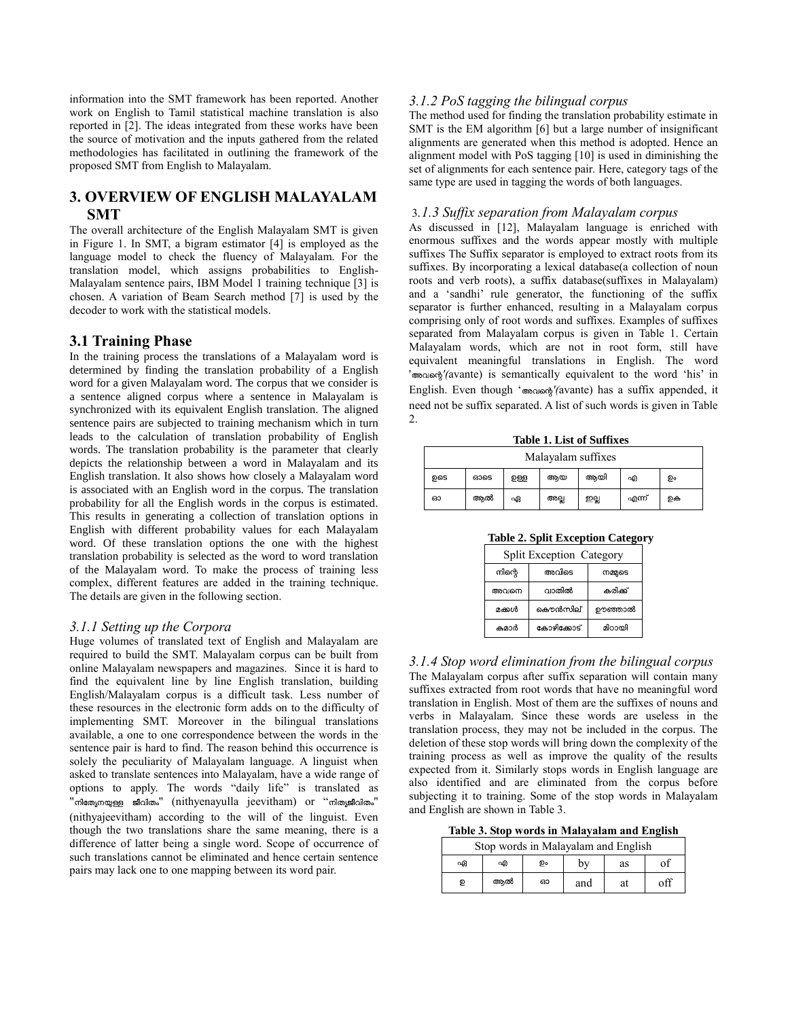information into the SMT framework has been reported. Another work on English to Tamil statistical machine translation is also reported in [2]. The ideas integrated from these works have been the source of motivation and the inputs gathered from the related methodologies has facilitated in outlining the framework of the proposed SMT from English to Malayalam.

# **3. OVERVIEW OF ENGLISH MALAYALAM SMT**

The overall architecture of the English Malayalam SMT is given in Figure 1. In SMT, a bigram estimator [4] is employed as the language model to check the fluency of Malayalam. For the translation model, which assigns probabilities to English-Malayalam sentence pairs, IBM Model 1 training technique [3] is chosen. A variation of Beam Search method [7] is used by the decoder to work with the statistical models.

#### **3.1 Training Phase**

In the training process the translations of a Malayalam word is determined by finding the translation probability of a English word for a given Malayalam word. The corpus that we consider is a sentence aligned corpus where a sentence in Malayalam is synchronized with its equivalent English translation. The aligned sentence pairs are subjected to training mechanism which in turn leads to the calculation of translation probability of English words. The translation probability is the parameter that clearly depicts the relationship between a word in Malayalam and its English translation. It also shows how closely a Malayalam word is associated with an English word in the corpus. The translation probability for all the English words in the corpus is estimated. This results in generating a collection of translation options in English with different probability values for each Malayalam word. Of these translation options the one with the highest translation probability is selected as the word to word translation of the Malayalam word. To make the process of training less complex, different features are added in the training technique. The details are given in the following section.

#### *3.1.1 Setting up the Corpora*

Huge volumes of translated text of English and Malayalam are required to build the SMT. Malayalam corpus can be built from online Malayalam newspapers and magazines. Since it is hard to find the equivalent line by line English translation, building English/Malayalam corpus is a difficult task. Less number of these resources in the electronic form adds on to the difficulty of implementing SMT. Moreover in the bilingual translations available, a one to one correspondence between the words in the sentence pair is hard to find. The reason behind this occurrence is solely the peculiarity of Malayalam language. A linguist when asked to translate sentences into Malayalam, have a wide range of options to apply. The words "daily life" is translated as " നിത്യേനയുള്ള ജീവിതം" (nithyenayulla jeevitham) or "നിതൃജീവിതം" (nithyajeevitham) according to the will of the linguist. Even though the two translations share the same meaning, there is a difference of latter being a single word. Scope of occurrence of such translations cannot be eliminated and hence certain sentence pairs may lack one to one mapping between its word pair.

#### *3.1.2 PoS tagging the bilingual corpus*

The method used for finding the translation probability estimate in SMT is the EM algorithm [6] but a large number of insignificant alignments are generated when this method is adopted. Hence an alignment model with PoS tagging [10] is used in diminishing the set of alignments for each sentence pair. Here, category tags of the same type are used in tagging the words of both languages.

#### 3*.1.3 Suffix separation from Malayalam corpus*

As discussed in [12], Malayalam language is enriched with enormous suffixes and the words appear mostly with multiple suffixes The Suffix separator is employed to extract roots from its suffixes. By incorporating a lexical database(a collection of noun roots and verb roots), a suffix database(suffixes in Malayalam) and a "sandhi" rule generator, the functioning of the suffix separator is further enhanced, resulting in a Malayalam corpus comprising only of root words and suffixes. Examples of suffixes separated from Malayalam corpus is given in Table 1. Certain Malayalam words, which are not in root form, still have equivalent meaningful translations in English. The word ' *'(*avante) is semantically equivalent to the word "his" in English. Even though " *'(*avante) has a suffix appended, it need not be suffix separated. A list of such words is given in Table 2.

**Table 1. List of Suffixes**

|     | Malayalam suffixes |     |      |      |      |       |    |
|-----|--------------------|-----|------|------|------|-------|----|
| ഉടെ |                    | ഓടെ | වතිව | ആയ   | ആയി  | എ     | ഉം |
| ഓ   |                    | ആൽ  | ഏ    | അല്ല | ഇല്ല | എന്ന് | றக |

**Table 2. Split Exception Category**

| <b>Split Exception Category</b> |            |         |  |  |  |
|---------------------------------|------------|---------|--|--|--|
| നിന്റെ                          | നമ്മുടെ    |         |  |  |  |
| അവനെ                            | വാതിൽ      | കരിക്ക് |  |  |  |
| മക്കൾ                           | കൌൻസില്    | ഊഞ്ഞാൽ  |  |  |  |
| കമാർ                            | കോഴിക്കോട് | മിറായി  |  |  |  |

*3.1.4 Stop word elimination from the bilingual corpus* The Malayalam corpus after suffix separation will contain many suffixes extracted from root words that have no meaningful word translation in English. Most of them are the suffixes of nouns and verbs in Malayalam. Since these words are useless in the translation process, they may not be included in the corpus. The deletion of these stop words will bring down the complexity of the training process as well as improve the quality of the results expected from it. Similarly stops words in English language are also identified and are eliminated from the corpus before subjecting it to training. Some of the stop words in Malayalam and English are shown in Table 3.

**Table 3. Stop words in Malayalam and English** 

| Stop words in Malayalam and English |    |    |     |    |     |  |
|-------------------------------------|----|----|-----|----|-----|--|
| ഏ                                   | എ  | ഉം | bv  | as | οť  |  |
| ഉ                                   | അൽ | ഓ  | and | at | off |  |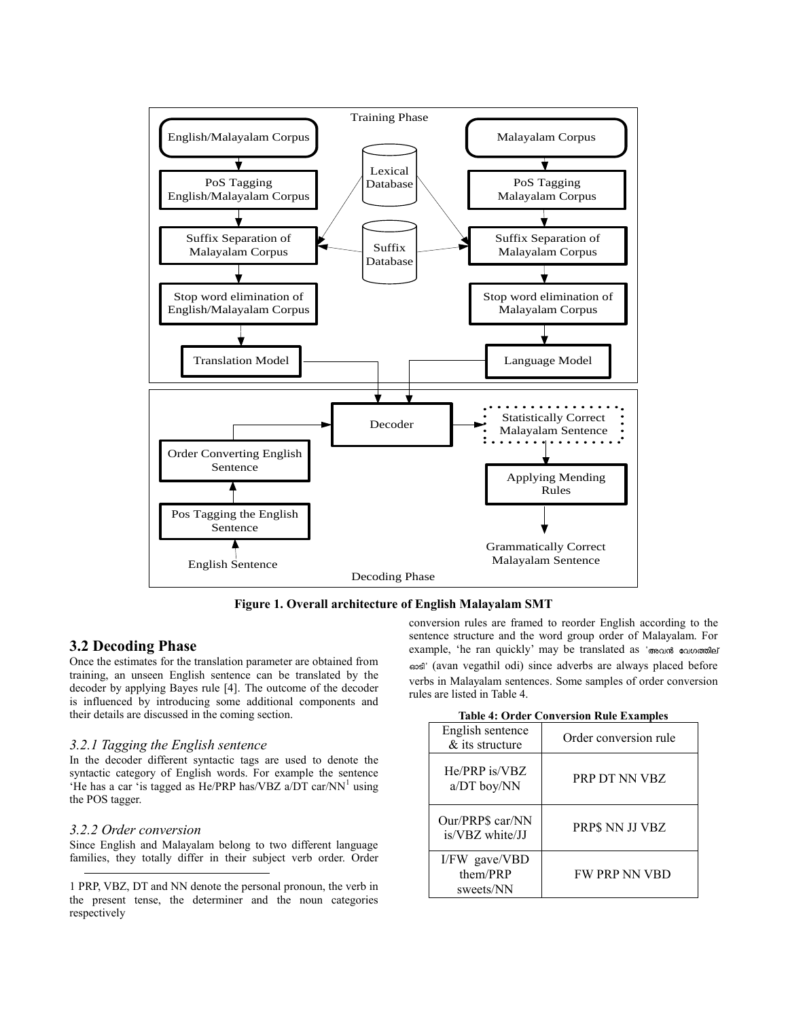

**Figure 1. Overall architecture of English Malayalam SMT**

## **3.2 Decoding Phase**

Once the estimates for the translation parameter are obtained from training, an unseen English sentence can be translated by the decoder by applying Bayes rule [4]. The outcome of the decoder is influenced by introducing some additional components and their details are discussed in the coming section.

#### *3.2.1 Tagging the English sentence*

In the decoder different syntactic tags are used to denote the syntactic category of English words. For example the sentence 'He has a car 'is tagged as He/PRP has/VBZ  $a/DT$  car/NN<sup>1</sup> using the POS tagger.

#### *3.2.2 Order conversion*

l

Since English and Malayalam belong to two different language families, they totally differ in their subject verb order. Order conversion rules are framed to reorder English according to the sentence structure and the word group order of Malayalam. For example, 'he ran quickly' may be translated as 'അവൻ വേഗത്തില് ' (avan vegathil odi) since adverbs are always placed before verbs in Malayalam sentences. Some samples of order conversion rules are listed in Table 4.

| <b>Table 4: Order Conversion Rule Examples</b> |  |
|------------------------------------------------|--|
|------------------------------------------------|--|

| Conversion reale main                  |                       |  |  |  |
|----------------------------------------|-----------------------|--|--|--|
| English sentence<br>& its structure    | Order conversion rule |  |  |  |
| He/PRP is/VBZ<br>a/DT boy/NN           | PRP DT NN VBZ         |  |  |  |
| Our/PRP\$ car/NN<br>is/VBZ white/JJ    | PRP\$ NN JJ VBZ       |  |  |  |
| I/FW gave/VBD<br>them/PRP<br>sweets/NN | <b>FW PRP NN VBD</b>  |  |  |  |

<sup>1</sup> PRP, VBZ, DT and NN denote the personal pronoun, the verb in the present tense, the determiner and the noun categories respectively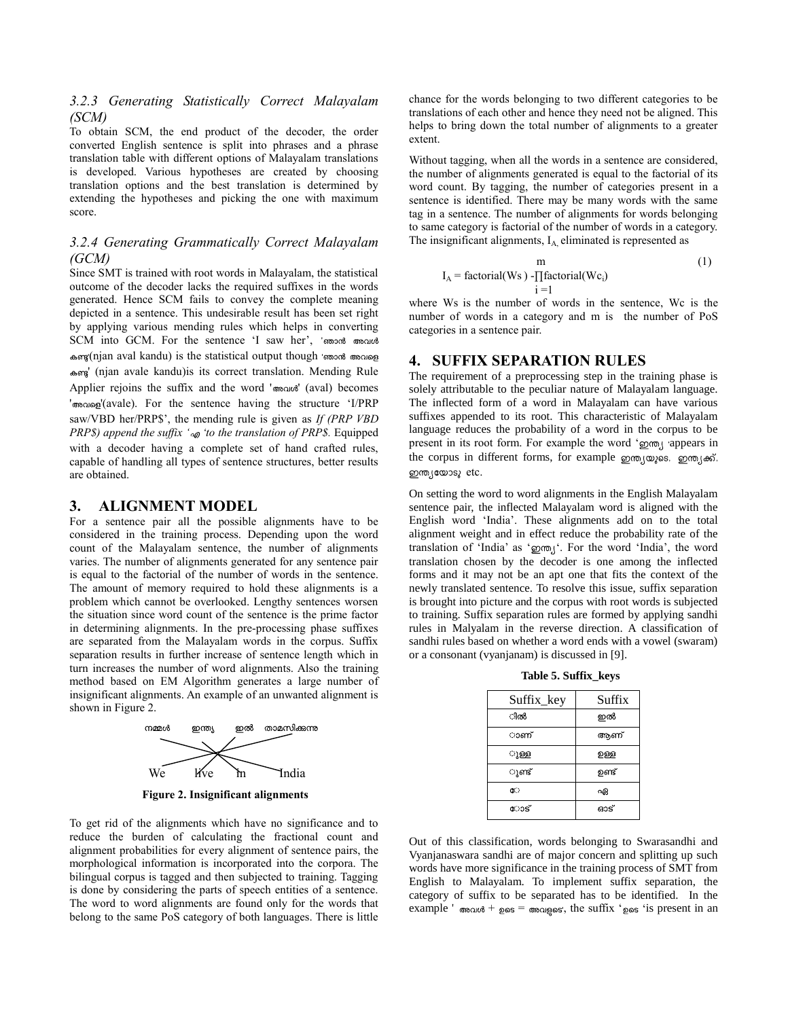### *3.2.3 Generating Statistically Correct Malayalam (SCM)*

To obtain SCM, the end product of the decoder, the order converted English sentence is split into phrases and a phrase translation table with different options of Malayalam translations is developed. Various hypotheses are created by choosing translation options and the best translation is determined by extending the hypotheses and picking the one with maximum score.

## *3.2.4 Generating Grammatically Correct Malayalam (GCM)*

Since SMT is trained with root words in Malayalam, the statistical outcome of the decoder lacks the required suffixes in the words generated. Hence SCM fails to convey the complete meaning depicted in a sentence. This undesirable result has been set right by applying various mending rules which helps in converting SCM into GCM. For the sentence 'I saw her', 'ഞാൻ അവൾ കണ്ട(njan aval kandu) is the statistical output though 'ഞാൻ അവളെ ' (njan avale kandu)is its correct translation. Mending Rule Applier rejoins the suffix and the word 'modi' (aval) becomes ' monog'(avale). For the sentence having the structure 'I/PRP saw/VBD her/PRP\$", the mending rule is given as *If (PRP VBD PRP\$) append the suffix ' to the translation of PRP\$.* Equipped with a decoder having a complete set of hand crafted rules, capable of handling all types of sentence structures, better results are obtained.

#### **3. ALIGNMENT MODEL**

For a sentence pair all the possible alignments have to be considered in the training process. Depending upon the word count of the Malayalam sentence, the number of alignments varies. The number of alignments generated for any sentence pair is equal to the factorial of the number of words in the sentence. The amount of memory required to hold these alignments is a problem which cannot be overlooked. Lengthy sentences worsen the situation since word count of the sentence is the prime factor in determining alignments. In the pre-processing phase suffixes are separated from the Malayalam words in the corpus. Suffix separation results in further increase of sentence length which in turn increases the number of word alignments. Also the training method based on EM Algorithm generates a large number of insignificant alignments. An example of an unwanted alignment is shown in Figure 2.



**Figure 2. Insignificant alignments**

To get rid of the alignments which have no significance and to reduce the burden of calculating the fractional count and alignment probabilities for every alignment of sentence pairs, the morphological information is incorporated into the corpora. The bilingual corpus is tagged and then subjected to training. Tagging is done by considering the parts of speech entities of a sentence. The word to word alignments are found only for the words that belong to the same PoS category of both languages. There is little

chance for the words belonging to two different categories to be translations of each other and hence they need not be aligned. This helps to bring down the total number of alignments to a greater extent.

Without tagging, when all the words in a sentence are considered, the number of alignments generated is equal to the factorial of its word count. By tagging, the number of categories present in a sentence is identified. There may be many words with the same tag in a sentence. The number of alignments for words belonging to same category is factorial of the number of words in a category. The insignificant alignments,  $I_A$  eliminated is represented as

$$
I_A = factorial(Ws) - \prod_{i=1}^{m} factorial(Wc_i)
$$
\n(1)

where Ws is the number of words in the sentence, Wc is the number of words in a category and m is the number of PoS categories in a sentence pair.

# **4. SUFFIX SEPARATION RULES**

The requirement of a preprocessing step in the training phase is solely attributable to the peculiar nature of Malayalam language. The inflected form of a word in Malayalam can have various suffixes appended to its root. This characteristic of Malayalam language reduces the probability of a word in the corpus to be present in its root form. For example the word 'goon, appears in the corpus in different forms, for example om, was, om, and, ഇന്ത്യയോടു etc.

On setting the word to word alignments in the English Malayalam sentence pair, the inflected Malayalam word is aligned with the English word 'India'. These alignments add on to the total alignment weight and in effect reduce the probability rate of the translation of 'India' as ' o my'. For the word 'India', the word translation chosen by the decoder is one among the inflected forms and it may not be an apt one that fits the context of the newly translated sentence. To resolve this issue, suffix separation is brought into picture and the corpus with root words is subjected to training. Suffix separation rules are formed by applying sandhi rules in Malyalam in the reverse direction. A classification of sandhi rules based on whether a word ends with a vowel (swaram) or a consonant (vyanjanam) is discussed in [9].

**Table 5. Suffix\_keys**

| Suffix_key | Suffix |
|------------|--------|
| ിൽ         | ഇൽ     |
| ാണ്        | അണ്    |
| ുള്ള       | ഉള്ള   |
| ുണ്ട്      | ഉണ്ട്  |
| ሮ።         | ഏ      |
| ോട്        | ഓട്    |

Out of this classification, words belonging to Swarasandhi and Vyanjanaswara sandhi are of major concern and splitting up such words have more significance in the training process of SMT from English to Malayalam. To implement suffix separation, the category of suffix to be separated has to be identified. In the example '  $\omega_d$  +  $\omega_s$  =  $\omega_s$  =  $\omega_s$ ; the suffix ' $\omega_s$  is present in an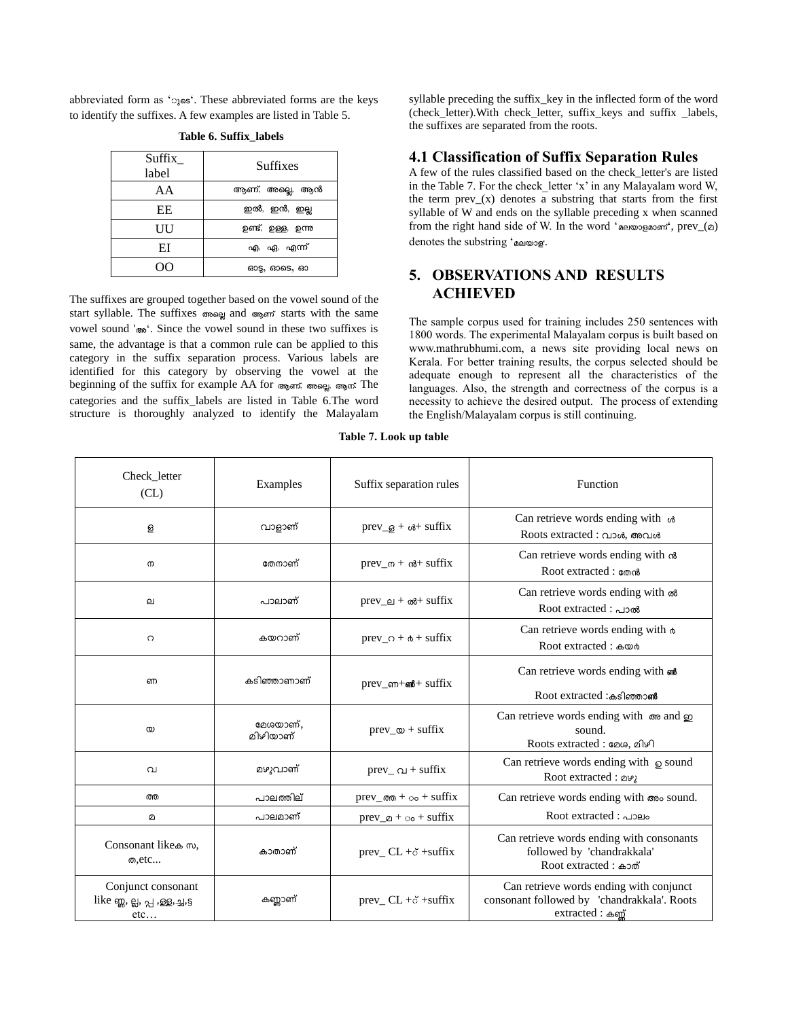abbreviated form as '<sub>3</sub>. These abbreviated forms are the keys to identify the suffixes. A few examples are listed in Table 5.

| Suffix<br>label | Suffixes           |  |
|-----------------|--------------------|--|
| AА              | ആണ്, അല്ലെ, ആൻ     |  |
| EЕ              | ഇൽ, ഇൻ, ഇല്ല       |  |
| UU              | ഉണ്ട്, ഉള്ള, ഉന്നു |  |
| ЕI              | എ, ഏ, എന്ന്        |  |
|                 | ഓട്ട, ഓടെ, ഓ       |  |

**Table 6. Suffix\_labels**

The suffixes are grouped together based on the vowel sound of the start syllable. The suffixes colong and copen starts with the same vowel sound '<sub> $\infty$ </sub>'. Since the vowel sound in these two suffixes is same, the advantage is that a common rule can be applied to this category in the suffix separation process. Various labels are identified for this category by observing the vowel at the beginning of the suffix for example AA for ആണ്, അല്ലെ, ആന്. The categories and the suffix\_labels are listed in Table 6.The word structure is thoroughly analyzed to identify the Malayalam syllable preceding the suffix\_key in the inflected form of the word (check\_letter).With check\_letter, suffix\_keys and suffix \_labels, the suffixes are separated from the roots.

## **4.1 Classification of Suffix Separation Rules**

A few of the rules classified based on the check\_letter's are listed in the Table 7. For the check\_letter 'x' in any Malayalam word W, the term prev $(x)$  denotes a substring that starts from the first syllable of W and ends on the syllable preceding x when scanned from the right hand side of W. In the word ' $a$ elwogasm', prev\_( $a$ ) denotes the substring 'aelwog'.

# **5. OBSERVATIONS AND RESULTS ACHIEVED**

The sample corpus used for training includes 250 sentences with 1800 words. The experimental Malayalam corpus is built based on www.mathrubhumi.com, a news site providing local news on Kerala. For better training results, the corpus selected should be adequate enough to represent all the characteristics of the languages. Also, the strength and correctness of the corpus is a necessity to achieve the desired output. The process of extending the English/Malayalam corpus is still continuing.

| Check_letter<br>CL)                                         | Examples             | Suffix separation rules                      | Function                                                                                                  |  |
|-------------------------------------------------------------|----------------------|----------------------------------------------|-----------------------------------------------------------------------------------------------------------|--|
| த                                                           | വാളാണ്               | $prev_\theta + \omega + suffix$              | Can retrieve words ending with $\phi$<br>Roots extracted : വാൾ, അവൾ                                       |  |
| $\sigma$                                                    | തേനാണ്               | $prev_{0} + \alpha + \text{suffix}$          | Can retrieve words ending with $\omega$<br>Root extracted : തേൻ                                           |  |
| ല                                                           | പാലാണ്               | $prev\_e1 + \omega + \text{suffix}$          | Can retrieve words ending with $\infty$<br>Root extracted : പാൽ                                           |  |
| $\Omega$                                                    | കയറാണ്               | $prev_0 + \phi + suffix$                     | Can retrieve words ending with $\phi$<br>Root extracted : കയർ                                             |  |
| ണ                                                           | കടിഞ്ഞാണാണ്          | $prev_{em}+m+sum$                            | Can retrieve words ending with $\omega$<br>Root extracted :കടിഞ്ഞാൺ                                       |  |
| $\infty$                                                    | മേശയാണ്.<br>മിഴിയാണ് | $prev_\infty$ + suffix                       | Can retrieve words ending with $\infty$ and $\infty$<br>sound.<br>Roots extracted : മേശ, മിഴി             |  |
| വ                                                           | മഴുവാണ്              | prev_ $\alpha$ + suffix                      | Can retrieve words ending with $\circ$ sound<br>Root extracted : 292                                      |  |
| ത്ത                                                         | പാലത്തില്            | $prev_{\alpha\alpha} + \circ \circ + suffix$ | Can retrieve words ending with $\infty$ sound.                                                            |  |
| മ                                                           | പാലമാണ്              | $prev_0 + \circ \circ + suffix$              | Root extracted : ~2010                                                                                    |  |
| Consonant like a m,<br>ത.etc                                | കാതാണ്               | prev_ $CL + \delta$ +suffix                  | Can retrieve words ending with consonants<br>followed by 'chandrakkala'<br>Root extracted : க்றல்         |  |
| Conjunct consonant<br>like ong, ല്ല, പ്പ, ള്ള, ച്ച,§<br>etc | കണ്ണാണ്              | prev_ CL +o +suffix                          | Can retrieve words ending with conjunct<br>consonant followed by 'chandrakkala'. Roots<br>extracted : க்் |  |

**Table 7. Look up table**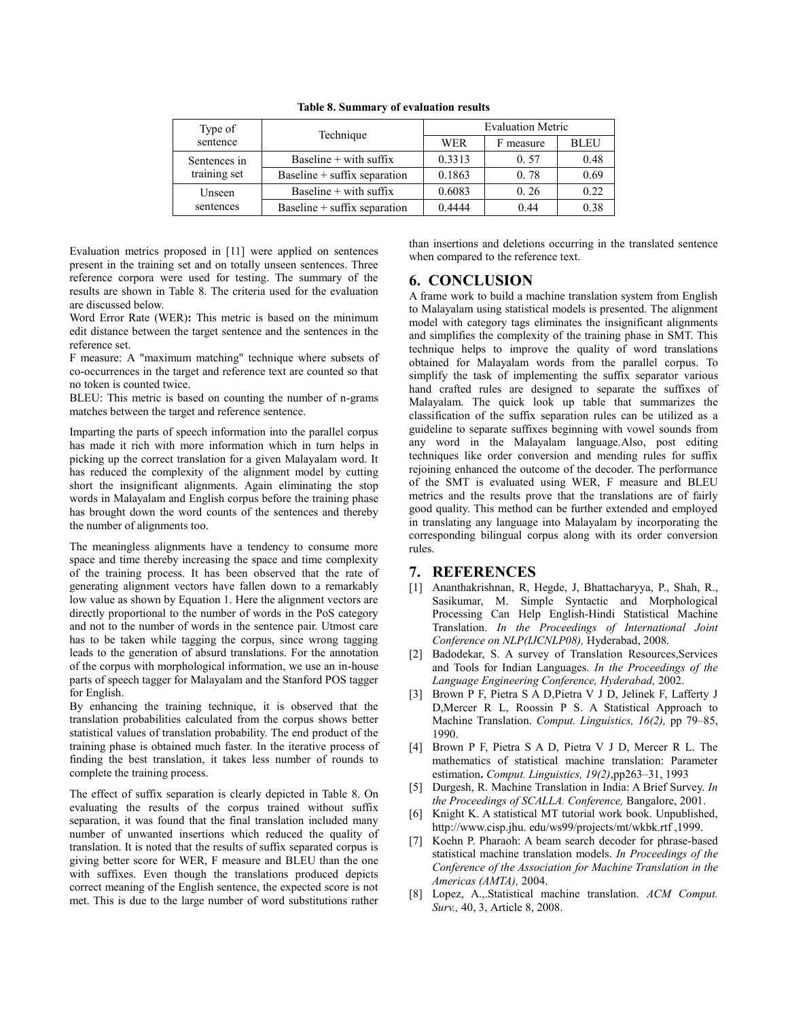| Type of      | Technique                      | <b>Evaluation Metric</b> |           |             |
|--------------|--------------------------------|--------------------------|-----------|-------------|
| sentence     |                                | <b>WER</b>               | F measure | <b>BLEU</b> |
| Sentences in | Baseline $+$ with suffix       | 0.3313                   | 0.57      | 0.48        |
| training set | Baseline $+$ suffix separation | 0.1863                   | 0.78      | 0.69        |
| Unseen       | Baseline $+$ with suffix       | 0.6083                   | 0.26      | 0.22        |
| sentences    | Baseline $+$ suffix separation | 0.4444                   | 0.44      | 0.38        |

**Table 8. Summary of evaluation results**

Evaluation metrics proposed in [11] were applied on sentences present in the training set and on totally unseen sentences. Three reference corpora were used for testing. The summary of the results are shown in Table 8. The criteria used for the evaluation are discussed below.

Word Error Rate (WER)**:** This metric is based on the minimum edit distance between the target sentence and the sentences in the reference set.

F measure: A "maximum matching" technique where subsets of co-occurrences in the target and reference text are counted so that no token is counted twice.

BLEU: This metric is based on counting the number of n-grams matches between the target and reference sentence.

Imparting the parts of speech information into the parallel corpus has made it rich with more information which in turn helps in picking up the correct translation for a given Malayalam word. It has reduced the complexity of the alignment model by cutting short the insignificant alignments. Again eliminating the stop words in Malayalam and English corpus before the training phase has brought down the word counts of the sentences and thereby the number of alignments too.

The meaningless alignments have a tendency to consume more space and time thereby increasing the space and time complexity of the training process. It has been observed that the rate of generating alignment vectors have fallen down to a remarkably low value as shown by Equation 1. Here the alignment vectors are directly proportional to the number of words in the PoS category and not to the number of words in the sentence pair. Utmost care has to be taken while tagging the corpus, since wrong tagging leads to the generation of absurd translations. For the annotation of the corpus with morphological information, we use an in-house parts of speech tagger for Malayalam and the Stanford POS tagger for English.

By enhancing the training technique, it is observed that the translation probabilities calculated from the corpus shows better statistical values of translation probability. The end product of the training phase is obtained much faster. In the iterative process of finding the best translation, it takes less number of rounds to complete the training process.

The effect of suffix separation is clearly depicted in Table 8. On evaluating the results of the corpus trained without suffix separation, it was found that the final translation included many number of unwanted insertions which reduced the quality of translation. It is noted that the results of suffix separated corpus is giving better score for WER, F measure and BLEU than the one with suffixes. Even though the translations produced depicts correct meaning of the English sentence, the expected score is not met. This is due to the large number of word substitutions rather

than insertions and deletions occurring in the translated sentence when compared to the reference text.

#### **6. CONCLUSION**

A frame work to build a machine translation system from English to Malayalam using statistical models is presented. The alignment model with category tags eliminates the insignificant alignments and simplifies the complexity of the training phase in SMT. This technique helps to improve the quality of word translations obtained for Malayalam words from the parallel corpus. To simplify the task of implementing the suffix separator various hand crafted rules are designed to separate the suffixes of Malayalam. The quick look up table that summarizes the classification of the suffix separation rules can be utilized as a guideline to separate suffixes beginning with vowel sounds from any word in the Malayalam language.Also, post editing techniques like order conversion and mending rules for suffix rejoining enhanced the outcome of the decoder. The performance of the SMT is evaluated using WER, F measure and BLEU metrics and the results prove that the translations are of fairly good quality. This method can be further extended and employed in translating any language into Malayalam by incorporating the corresponding bilingual corpus along with its order conversion rules.

#### **7. REFERENCES**

- [1] Ananthakrishnan, R, Hegde, J, Bhattacharyya, P., Shah, R., Sasikumar, M. Simple Syntactic and Morphological Processing Can Help English-Hindi Statistical Machine Translation. *In the Proceedings of International Joint Conference on NLP(IJCNLP08),* Hyderabad, 2008.
- [2] Badodekar, S. A survey of Translation Resources, Services and Tools for Indian Languages. *In the Proceedings of the Language Engineering Conference, Hyderabad,* 2002.
- [3] Brown P F, Pietra S A D,Pietra V J D, Jelinek F, Lafferty J D,Mercer R L, Roossin P S. A Statistical Approach to Machine Translation. *Comput. Linguistics, 16(2),* pp 79–85, 1990.
- [4] Brown P F, Pietra S A D, Pietra V J D, Mercer R L. The mathematics of statistical machine translation: Parameter estimation**.** *Comput. Linguistics, 19(2)*,pp263–31, 1993
- [5] Durgesh, R. Machine Translation in India: A Brief Survey. *In the Proceedings of SCALLA. Conference,* Bangalore, 2001.
- [6] Knight K. A statistical MT tutorial work book. Unpublished, http://www.cisp.jhu. edu/ws99/projects/mt/wkbk.rtf ,1999.
- [7] Koehn P. Pharaoh: A beam search decoder for phrase-based statistical machine translation models. *In Proceedings of the Conference of the Association for Machine Translation in the Americas (AMTA),* 2004.
- [8] Lopez, A.,.Statistical machine translation. *ACM Comput. Surv.,* 40, 3, Article 8, 2008.